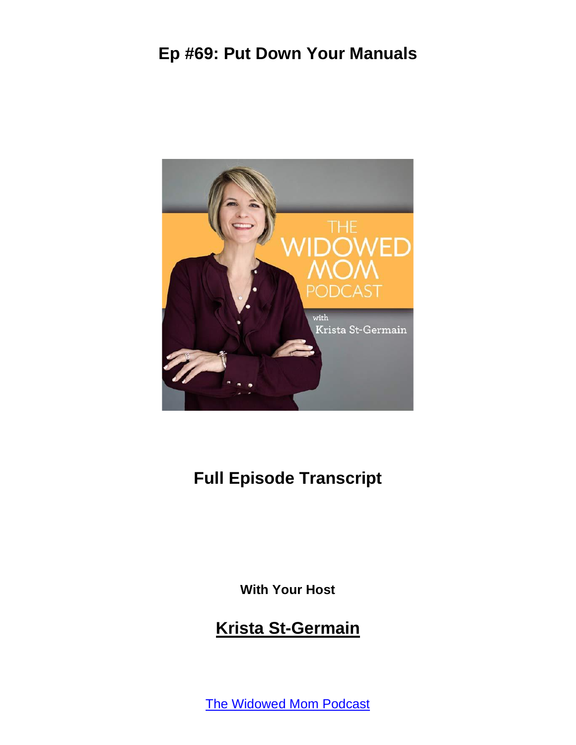

# **Full Episode Transcript**

**With Your Host**

#### **Krista St-Germain**

The [Widowed](https://coachingwithkrista.com/podcast) Mom Podcast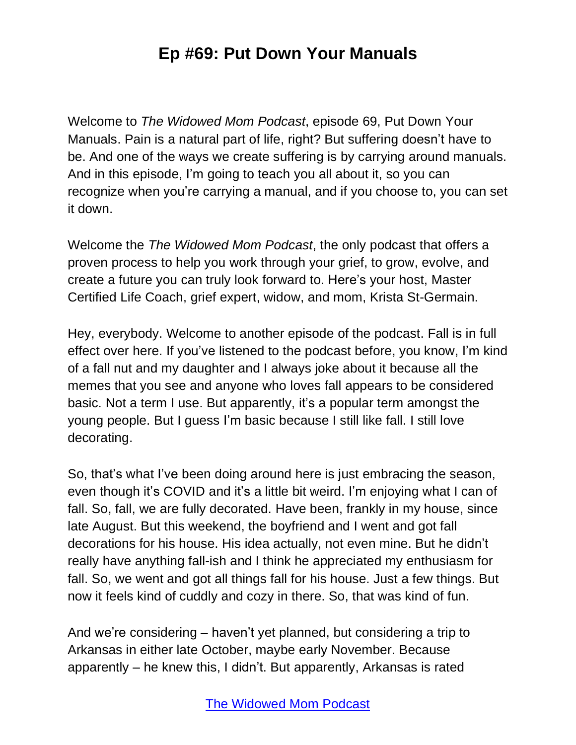Welcome to *The Widowed Mom Podcast*, episode 69, Put Down Your Manuals. Pain is a natural part of life, right? But suffering doesn't have to be. And one of the ways we create suffering is by carrying around manuals. And in this episode, I'm going to teach you all about it, so you can recognize when you're carrying a manual, and if you choose to, you can set it down.

Welcome the *The Widowed Mom Podcast*, the only podcast that offers a proven process to help you work through your grief, to grow, evolve, and create a future you can truly look forward to. Here's your host, Master Certified Life Coach, grief expert, widow, and mom, Krista St-Germain.

Hey, everybody. Welcome to another episode of the podcast. Fall is in full effect over here. If you've listened to the podcast before, you know, I'm kind of a fall nut and my daughter and I always joke about it because all the memes that you see and anyone who loves fall appears to be considered basic. Not a term I use. But apparently, it's a popular term amongst the young people. But I guess I'm basic because I still like fall. I still love decorating.

So, that's what I've been doing around here is just embracing the season, even though it's COVID and it's a little bit weird. I'm enjoying what I can of fall. So, fall, we are fully decorated. Have been, frankly in my house, since late August. But this weekend, the boyfriend and I went and got fall decorations for his house. His idea actually, not even mine. But he didn't really have anything fall-ish and I think he appreciated my enthusiasm for fall. So, we went and got all things fall for his house. Just a few things. But now it feels kind of cuddly and cozy in there. So, that was kind of fun.

And we're considering – haven't yet planned, but considering a trip to Arkansas in either late October, maybe early November. Because apparently – he knew this, I didn't. But apparently, Arkansas is rated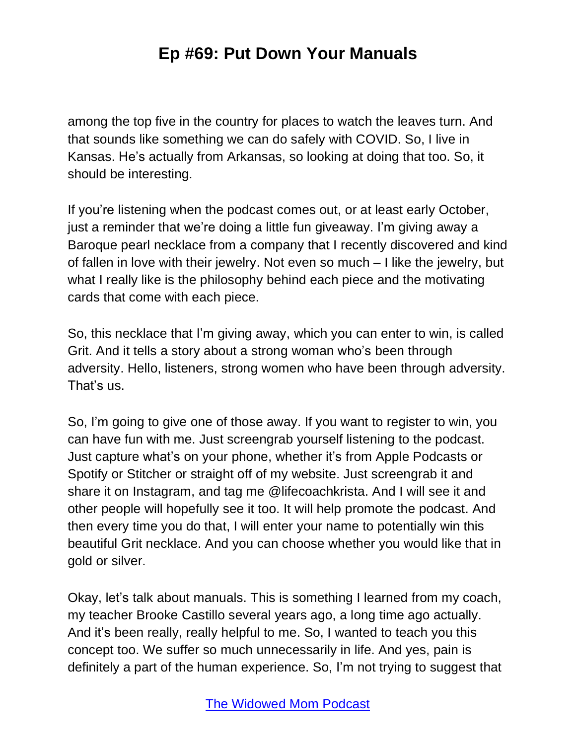among the top five in the country for places to watch the leaves turn. And that sounds like something we can do safely with COVID. So, I live in Kansas. He's actually from Arkansas, so looking at doing that too. So, it should be interesting.

If you're listening when the podcast comes out, or at least early October, just a reminder that we're doing a little fun giveaway. I'm giving away a Baroque pearl necklace from a company that I recently discovered and kind of fallen in love with their jewelry. Not even so much – I like the jewelry, but what I really like is the philosophy behind each piece and the motivating cards that come with each piece.

So, this necklace that I'm giving away, which you can enter to win, is called Grit. And it tells a story about a strong woman who's been through adversity. Hello, listeners, strong women who have been through adversity. That's us.

So, I'm going to give one of those away. If you want to register to win, you can have fun with me. Just screengrab yourself listening to the podcast. Just capture what's on your phone, whether it's from Apple Podcasts or Spotify or Stitcher or straight off of my website. Just screengrab it and share it on Instagram, and tag me @lifecoachkrista. And I will see it and other people will hopefully see it too. It will help promote the podcast. And then every time you do that, I will enter your name to potentially win this beautiful Grit necklace. And you can choose whether you would like that in gold or silver.

Okay, let's talk about manuals. This is something I learned from my coach, my teacher Brooke Castillo several years ago, a long time ago actually. And it's been really, really helpful to me. So, I wanted to teach you this concept too. We suffer so much unnecessarily in life. And yes, pain is definitely a part of the human experience. So, I'm not trying to suggest that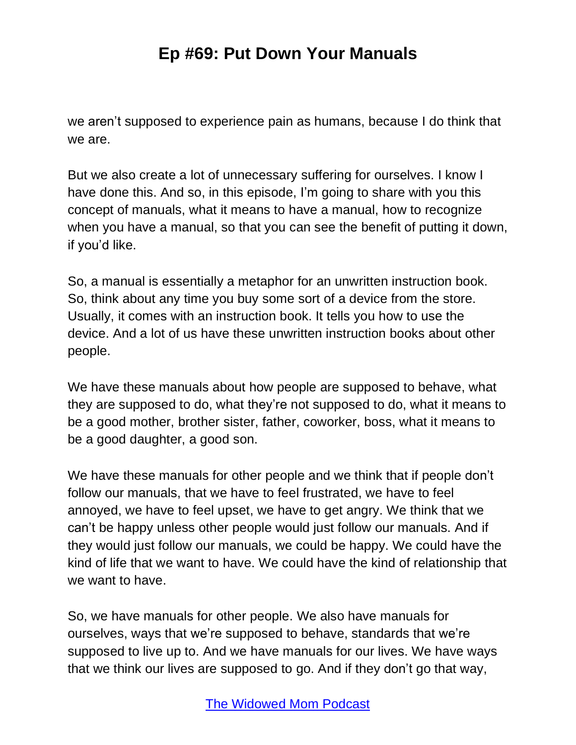we aren't supposed to experience pain as humans, because I do think that we are.

But we also create a lot of unnecessary suffering for ourselves. I know I have done this. And so, in this episode, I'm going to share with you this concept of manuals, what it means to have a manual, how to recognize when you have a manual, so that you can see the benefit of putting it down, if you'd like.

So, a manual is essentially a metaphor for an unwritten instruction book. So, think about any time you buy some sort of a device from the store. Usually, it comes with an instruction book. It tells you how to use the device. And a lot of us have these unwritten instruction books about other people.

We have these manuals about how people are supposed to behave, what they are supposed to do, what they're not supposed to do, what it means to be a good mother, brother sister, father, coworker, boss, what it means to be a good daughter, a good son.

We have these manuals for other people and we think that if people don't follow our manuals, that we have to feel frustrated, we have to feel annoyed, we have to feel upset, we have to get angry. We think that we can't be happy unless other people would just follow our manuals. And if they would just follow our manuals, we could be happy. We could have the kind of life that we want to have. We could have the kind of relationship that we want to have.

So, we have manuals for other people. We also have manuals for ourselves, ways that we're supposed to behave, standards that we're supposed to live up to. And we have manuals for our lives. We have ways that we think our lives are supposed to go. And if they don't go that way,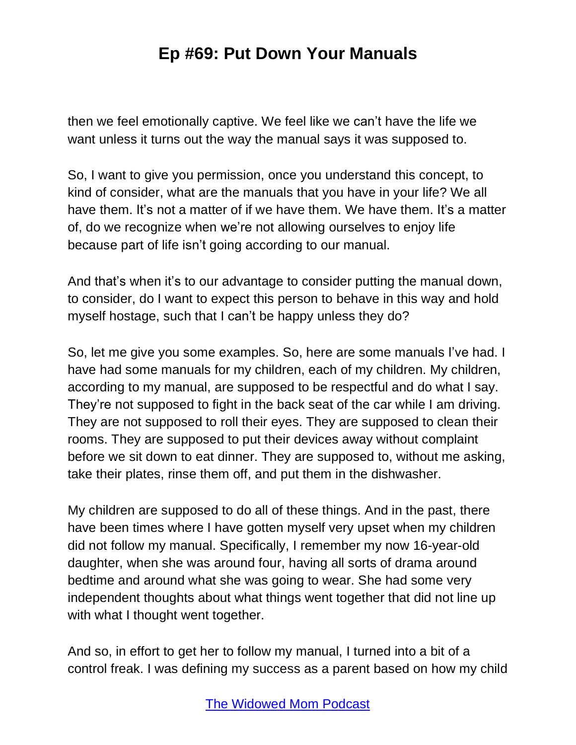then we feel emotionally captive. We feel like we can't have the life we want unless it turns out the way the manual says it was supposed to.

So, I want to give you permission, once you understand this concept, to kind of consider, what are the manuals that you have in your life? We all have them. It's not a matter of if we have them. We have them. It's a matter of, do we recognize when we're not allowing ourselves to enjoy life because part of life isn't going according to our manual.

And that's when it's to our advantage to consider putting the manual down, to consider, do I want to expect this person to behave in this way and hold myself hostage, such that I can't be happy unless they do?

So, let me give you some examples. So, here are some manuals I've had. I have had some manuals for my children, each of my children. My children, according to my manual, are supposed to be respectful and do what I say. They're not supposed to fight in the back seat of the car while I am driving. They are not supposed to roll their eyes. They are supposed to clean their rooms. They are supposed to put their devices away without complaint before we sit down to eat dinner. They are supposed to, without me asking, take their plates, rinse them off, and put them in the dishwasher.

My children are supposed to do all of these things. And in the past, there have been times where I have gotten myself very upset when my children did not follow my manual. Specifically, I remember my now 16-year-old daughter, when she was around four, having all sorts of drama around bedtime and around what she was going to wear. She had some very independent thoughts about what things went together that did not line up with what I thought went together.

And so, in effort to get her to follow my manual, I turned into a bit of a control freak. I was defining my success as a parent based on how my child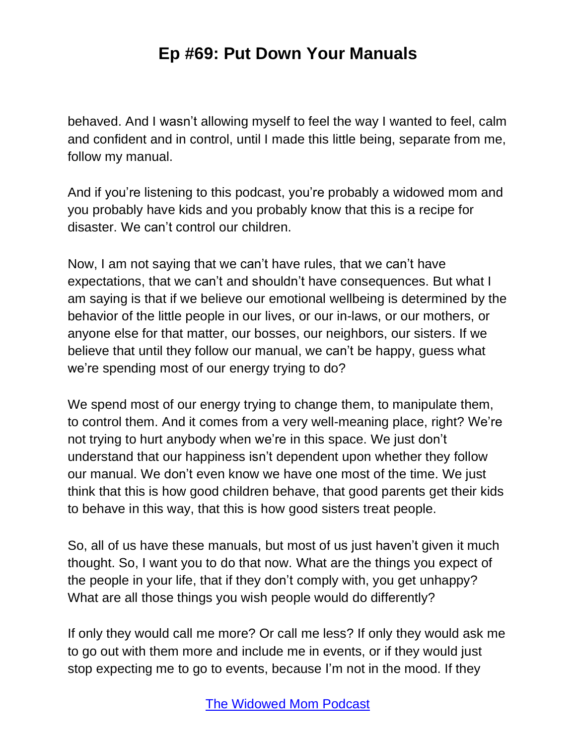behaved. And I wasn't allowing myself to feel the way I wanted to feel, calm and confident and in control, until I made this little being, separate from me, follow my manual.

And if you're listening to this podcast, you're probably a widowed mom and you probably have kids and you probably know that this is a recipe for disaster. We can't control our children.

Now, I am not saying that we can't have rules, that we can't have expectations, that we can't and shouldn't have consequences. But what I am saying is that if we believe our emotional wellbeing is determined by the behavior of the little people in our lives, or our in-laws, or our mothers, or anyone else for that matter, our bosses, our neighbors, our sisters. If we believe that until they follow our manual, we can't be happy, guess what we're spending most of our energy trying to do?

We spend most of our energy trying to change them, to manipulate them, to control them. And it comes from a very well-meaning place, right? We're not trying to hurt anybody when we're in this space. We just don't understand that our happiness isn't dependent upon whether they follow our manual. We don't even know we have one most of the time. We just think that this is how good children behave, that good parents get their kids to behave in this way, that this is how good sisters treat people.

So, all of us have these manuals, but most of us just haven't given it much thought. So, I want you to do that now. What are the things you expect of the people in your life, that if they don't comply with, you get unhappy? What are all those things you wish people would do differently?

If only they would call me more? Or call me less? If only they would ask me to go out with them more and include me in events, or if they would just stop expecting me to go to events, because I'm not in the mood. If they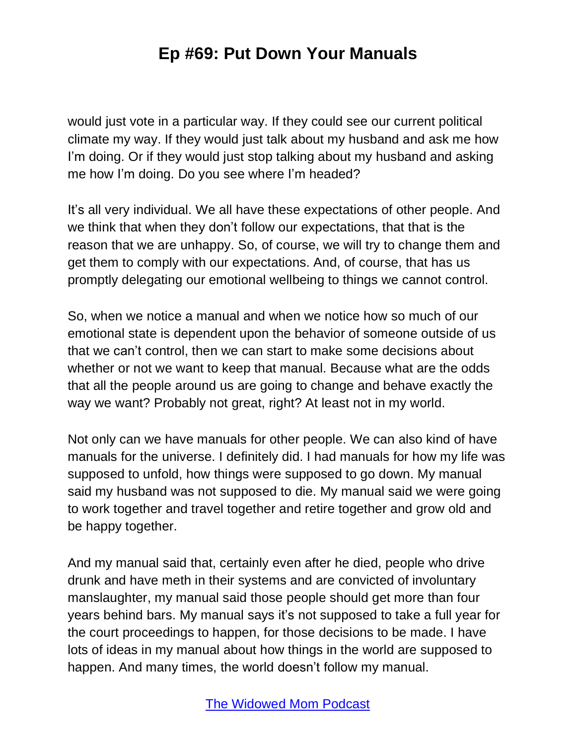would just vote in a particular way. If they could see our current political climate my way. If they would just talk about my husband and ask me how I'm doing. Or if they would just stop talking about my husband and asking me how I'm doing. Do you see where I'm headed?

It's all very individual. We all have these expectations of other people. And we think that when they don't follow our expectations, that that is the reason that we are unhappy. So, of course, we will try to change them and get them to comply with our expectations. And, of course, that has us promptly delegating our emotional wellbeing to things we cannot control.

So, when we notice a manual and when we notice how so much of our emotional state is dependent upon the behavior of someone outside of us that we can't control, then we can start to make some decisions about whether or not we want to keep that manual. Because what are the odds that all the people around us are going to change and behave exactly the way we want? Probably not great, right? At least not in my world.

Not only can we have manuals for other people. We can also kind of have manuals for the universe. I definitely did. I had manuals for how my life was supposed to unfold, how things were supposed to go down. My manual said my husband was not supposed to die. My manual said we were going to work together and travel together and retire together and grow old and be happy together.

And my manual said that, certainly even after he died, people who drive drunk and have meth in their systems and are convicted of involuntary manslaughter, my manual said those people should get more than four years behind bars. My manual says it's not supposed to take a full year for the court proceedings to happen, for those decisions to be made. I have lots of ideas in my manual about how things in the world are supposed to happen. And many times, the world doesn't follow my manual.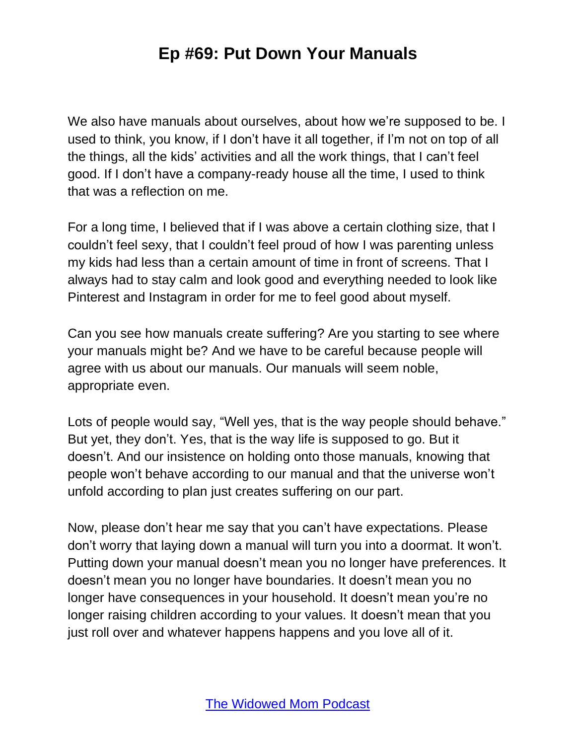We also have manuals about ourselves, about how we're supposed to be. I used to think, you know, if I don't have it all together, if I'm not on top of all the things, all the kids' activities and all the work things, that I can't feel good. If I don't have a company-ready house all the time, I used to think that was a reflection on me.

For a long time, I believed that if I was above a certain clothing size, that I couldn't feel sexy, that I couldn't feel proud of how I was parenting unless my kids had less than a certain amount of time in front of screens. That I always had to stay calm and look good and everything needed to look like Pinterest and Instagram in order for me to feel good about myself.

Can you see how manuals create suffering? Are you starting to see where your manuals might be? And we have to be careful because people will agree with us about our manuals. Our manuals will seem noble, appropriate even.

Lots of people would say, "Well yes, that is the way people should behave." But yet, they don't. Yes, that is the way life is supposed to go. But it doesn't. And our insistence on holding onto those manuals, knowing that people won't behave according to our manual and that the universe won't unfold according to plan just creates suffering on our part.

Now, please don't hear me say that you can't have expectations. Please don't worry that laying down a manual will turn you into a doormat. It won't. Putting down your manual doesn't mean you no longer have preferences. It doesn't mean you no longer have boundaries. It doesn't mean you no longer have consequences in your household. It doesn't mean you're no longer raising children according to your values. It doesn't mean that you just roll over and whatever happens happens and you love all of it.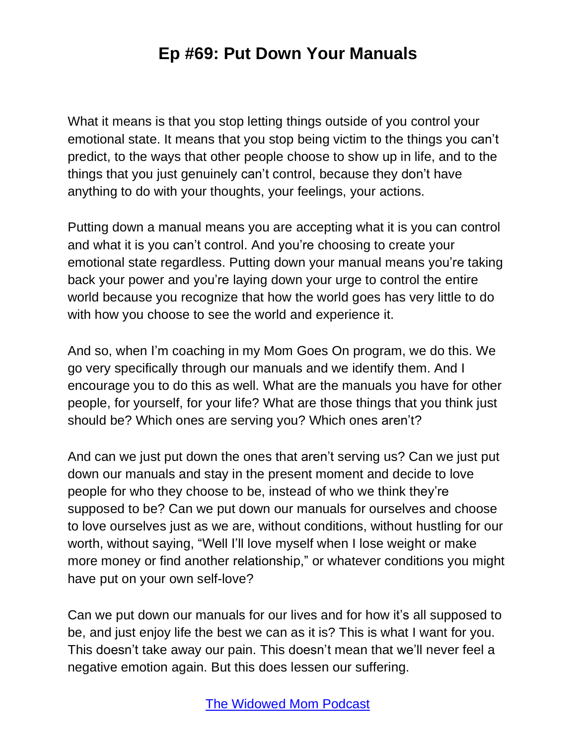What it means is that you stop letting things outside of you control your emotional state. It means that you stop being victim to the things you can't predict, to the ways that other people choose to show up in life, and to the things that you just genuinely can't control, because they don't have anything to do with your thoughts, your feelings, your actions.

Putting down a manual means you are accepting what it is you can control and what it is you can't control. And you're choosing to create your emotional state regardless. Putting down your manual means you're taking back your power and you're laying down your urge to control the entire world because you recognize that how the world goes has very little to do with how you choose to see the world and experience it.

And so, when I'm coaching in my Mom Goes On program, we do this. We go very specifically through our manuals and we identify them. And I encourage you to do this as well. What are the manuals you have for other people, for yourself, for your life? What are those things that you think just should be? Which ones are serving you? Which ones aren't?

And can we just put down the ones that aren't serving us? Can we just put down our manuals and stay in the present moment and decide to love people for who they choose to be, instead of who we think they're supposed to be? Can we put down our manuals for ourselves and choose to love ourselves just as we are, without conditions, without hustling for our worth, without saying, "Well I'll love myself when I lose weight or make more money or find another relationship," or whatever conditions you might have put on your own self-love?

Can we put down our manuals for our lives and for how it's all supposed to be, and just enjoy life the best we can as it is? This is what I want for you. This doesn't take away our pain. This doesn't mean that we'll never feel a negative emotion again. But this does lessen our suffering.